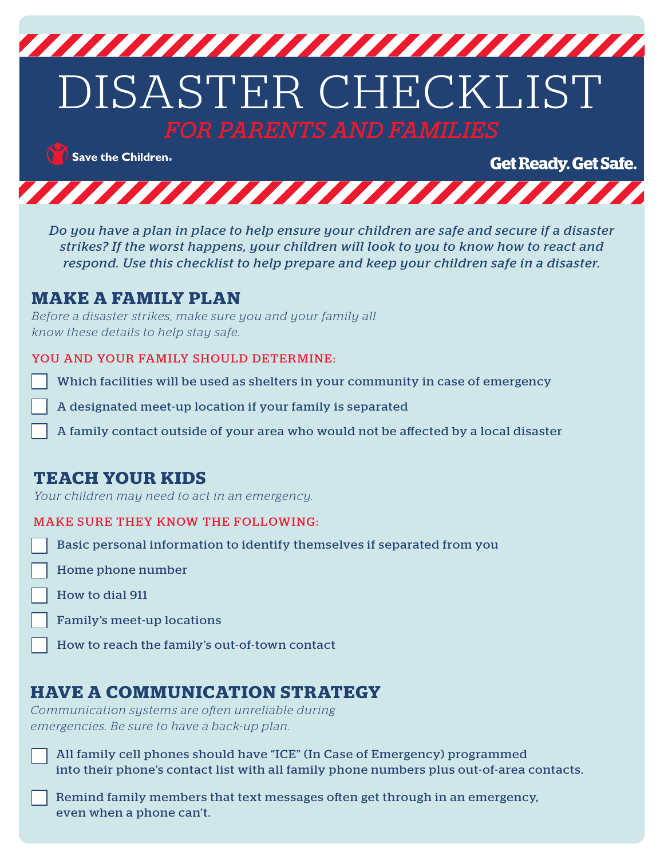

 $\bigcirc$  Save the Children.

**Get Ready. Get Safe.** 



*Do you have a plan in place to help ensure your children are safe and secure if a disaster strikes? If the worst happens, your children will look to you to know how to react and respond. Use this checklist to help prepare and keep your children safe in a disaster.*

#### **MAKE A FAMILY PLAN**

*Before a disaster strikes, make sure you and your family all know these details to help stay safe.*

#### YOU AND YOUR FAMILY SHOULD DETERMINE:

Which facilities will be used as shelters in your community in case of emergency

A designated meet-up location if your family is separated

A family contact outside of your area who would not be affected by a local disaster

## **TEACH YOUR KIDS**

*Your children may need to act in an emergency.*

#### MAKE SURE THEY KNOW THE FOLLOWING:

Basic personal information to identify themselves if separated from you

Home phone number

How to dial 911

Family's meet-up locations

How to reach the family's out-of-town contact

## **HAVE A COMMUNICATION STRATEGY**

*Communication systems are often unreliable during emergencies. Be sure to have a back-up plan.*

All family cell phones should have "ICE" (In Case of Emergency) programmed into their phone's contact list with all family phone numbers plus out-of-area contacts.

Remind family members that text messages often get through in an emergency, even when a phone can't.